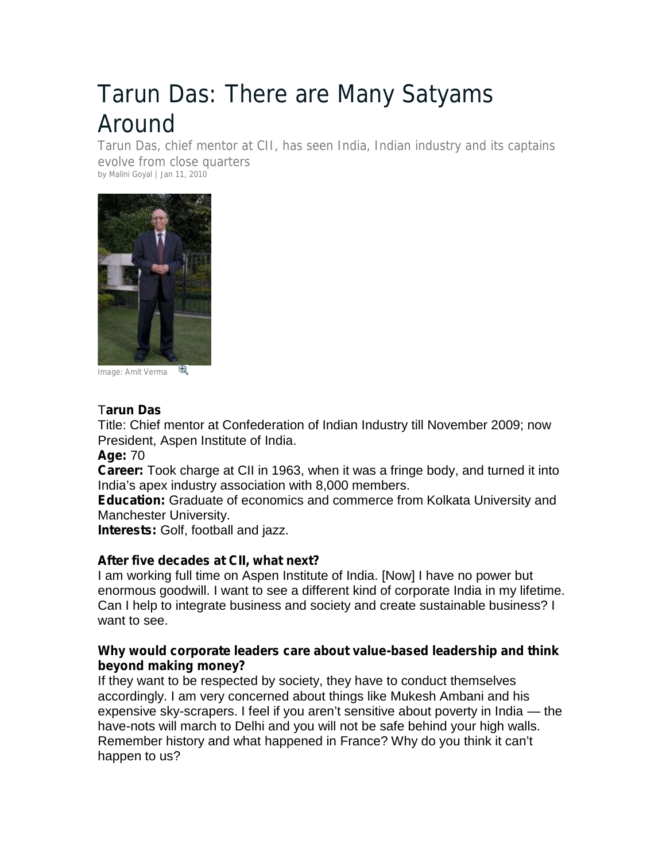# Tarun Das: There are Many Satyams Around

Tarun Das, chief mentor at CII, has seen India, Indian industry and its captains evolve from close quarters by Malini Goyal | Jan 11, 2010



*Image: Amit Verma*

## T**arun Das**

Title: Chief mentor at Confederation of Indian Industry till November 2009; now President, Aspen Institute of India.

**Age:** 70

**Career:** Took charge at CII in 1963, when it was a fringe body, and turned it into India's apex industry association with 8,000 members.

**Education:** Graduate of economics and commerce from Kolkata University and Manchester University.

**Interests:** Golf, football and jazz.

### **After five decades at CII, what next?**

I am working full time on Aspen Institute of India. [Now] I have no power but enormous goodwill. I want to see a different kind of corporate India in my lifetime. Can I help to integrate business and society and create sustainable business? I want to see.

### **Why would corporate leaders care about value-based leadership and think beyond making money?**

If they want to be respected by society, they have to conduct themselves accordingly. I am very concerned about things like Mukesh Ambani and his expensive sky-scrapers. I feel if you aren't sensitive about poverty in India — the have-nots will march to Delhi and you will not be safe behind your high walls. Remember history and what happened in France? Why do you think it can't happen to us?